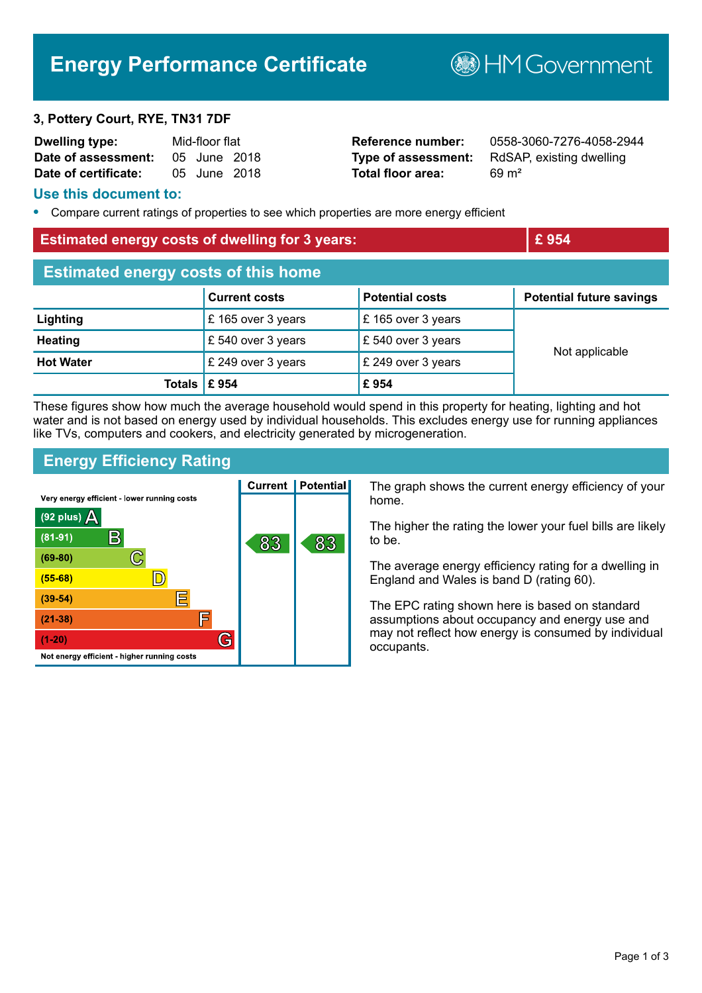# **Energy Performance Certificate**

**B**HM Government

#### **3, Pottery Court, RYE, TN31 7DF**

| <b>Dwelling type:</b> | Mid-floor flat |              |  |
|-----------------------|----------------|--------------|--|
| Date of assessment:   |                | 05 June 2018 |  |
| Date of certificate:  |                | 05 June 2018 |  |

**Total floor area:** 69 m<sup>2</sup>

**Reference number:** 0558-3060-7276-4058-2944 **Type of assessment:** RdSAP, existing dwelling

#### **Use this document to:**

**•** Compare current ratings of properties to see which properties are more energy efficient

#### **Estimated energy costs of dwelling for 3 years: EXECUTE:**  $\mathbf{E}$  954

| <b>Estimated energy costs of this home</b> |                      |                               |                                 |  |
|--------------------------------------------|----------------------|-------------------------------|---------------------------------|--|
|                                            | <b>Current costs</b> | <b>Potential costs</b>        | <b>Potential future savings</b> |  |
| Lighting                                   | £ 165 over 3 years   | $\mathsf E$ 165 over 3 years  |                                 |  |
| <b>Heating</b>                             | £ 540 over 3 years   | $\mathsf{E}$ 540 over 3 years |                                 |  |
| <b>Hot Water</b>                           | £ 249 over 3 years   | $\mathsf{E}$ 249 over 3 years | Not applicable                  |  |
| Totals $\mathsf{\mathsf{E}}$ 954           |                      | £954                          |                                 |  |

These figures show how much the average household would spend in this property for heating, lighting and hot water and is not based on energy used by individual households. This excludes energy use for running appliances like TVs, computers and cookers, and electricity generated by microgeneration.

## **Energy Efficiency Rating**

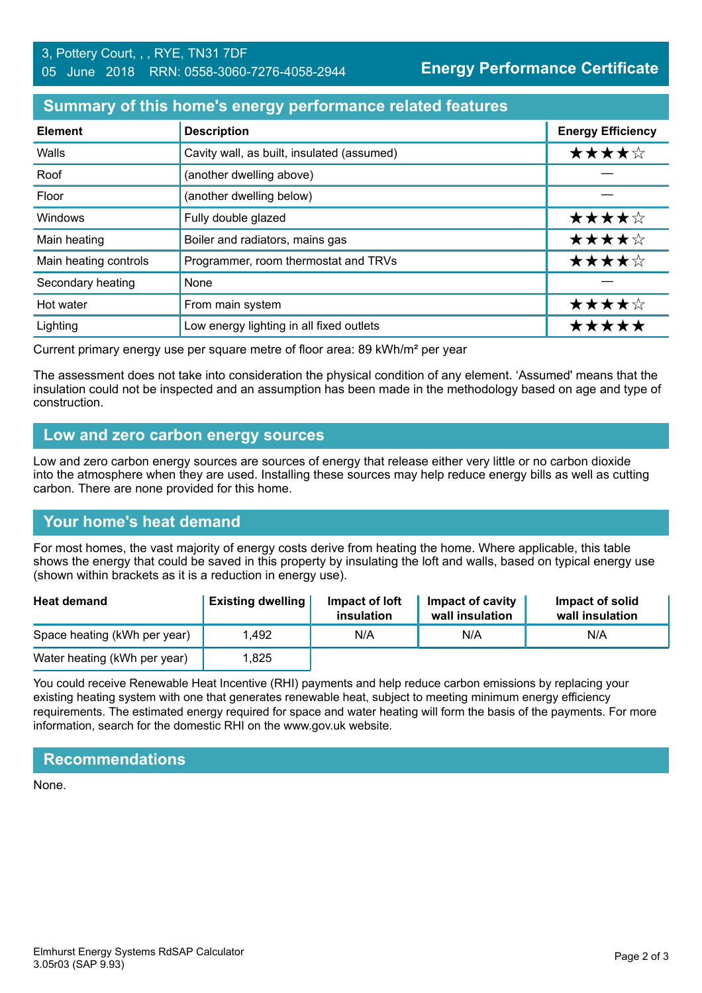## **Summary of this home's energy performance related features**

| <b>Element</b>        | <b>Description</b>                         | <b>Energy Efficiency</b> |
|-----------------------|--------------------------------------------|--------------------------|
| Walls                 | Cavity wall, as built, insulated (assumed) | ★★★★☆                    |
| Roof                  | (another dwelling above)                   |                          |
| Floor                 | (another dwelling below)                   |                          |
| Windows               | Fully double glazed                        | ★★★★☆                    |
| Main heating          | Boiler and radiators, mains gas            | ★★★★☆                    |
| Main heating controls | Programmer, room thermostat and TRVs       | ★★★★☆                    |
| Secondary heating     | None                                       |                          |
| Hot water             | From main system                           | ★★★★☆                    |
| Lighting              | Low energy lighting in all fixed outlets   | *****                    |

Current primary energy use per square metre of floor area: 89 kWh/m² per year

The assessment does not take into consideration the physical condition of any element. 'Assumed' means that the insulation could not be inspected and an assumption has been made in the methodology based on age and type of construction.

### **Low and zero carbon energy sources**

Low and zero carbon energy sources are sources of energy that release either very little or no carbon dioxide into the atmosphere when they are used. Installing these sources may help reduce energy bills as well as cutting carbon. There are none provided for this home.

### **Your home's heat demand**

For most homes, the vast majority of energy costs derive from heating the home. Where applicable, this table shows the energy that could be saved in this property by insulating the loft and walls, based on typical energy use (shown within brackets as it is a reduction in energy use).

| <b>Heat demand</b>           | <b>Existing dwelling</b> | Impact of loft<br>insulation | Impact of cavity<br>wall insulation | Impact of solid<br>wall insulation |
|------------------------------|--------------------------|------------------------------|-------------------------------------|------------------------------------|
| Space heating (kWh per year) | 1.492                    | N/A                          | N/A                                 | N/A                                |
| Water heating (kWh per year) | .825                     |                              |                                     |                                    |

You could receive Renewable Heat Incentive (RHI) payments and help reduce carbon emissions by replacing your existing heating system with one that generates renewable heat, subject to meeting minimum energy efficiency requirements. The estimated energy required for space and water heating will form the basis of the payments. For more information, search for the domestic RHI on the www.gov.uk website.

### **Recommendations**

None.